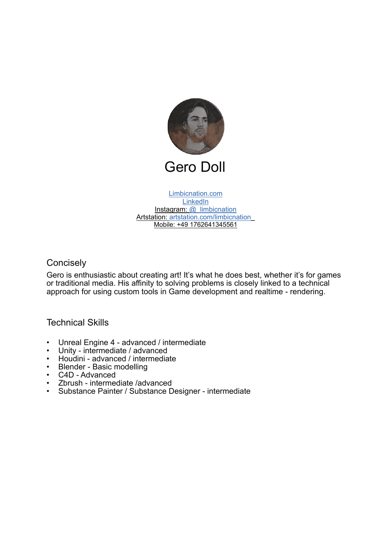

[Limbicnation.com](https://www.limbicnation.com/) **[LinkedIn](https://www.linkedin.com/in/gero-doll-8622292b/)** Instagram: [@\\_limbicnation](https://www.instagram.com/_limbicnation_/) Artstation: [artstation.com/limbicnation](https://www.artstation.com/limbicnation)\_ Mobile: +49 1762641345561

# **Concisely**

Gero is enthusiastic about creating art! It's what he does best, whether it's for games or traditional media. His affinity to solving problems is closely linked to a technical approach for using custom tools in Game development and realtime - rendering.

# Technical Skills

- Unreal Engine 4 advanced / intermediate<br>• I Inity intermediate / advanced
- Unity intermediate / advanced<br>• Houdini advanced / intermedia
- Houdini advanced / intermediate
- Blender Basic modelling<br>• C4D Advanced
- C4D Advanced
- Zbrush intermediate /advanced<br>• Substance Painter / Substance D
- Substance Painter / Substance Designer intermediate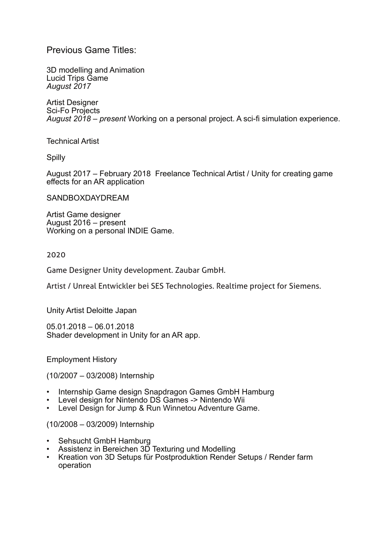# Previous Game Titles:

3D modelling and Animation Lucid Trips Game *August 2017*

Artist Designer Sci-Fo Projects *August 2018 – present* Working on a personal project. A sci-fi simulation experience.

Technical Artist

**Spilly** 

August 2017 – February 2018 Freelance Technical Artist / Unity for creating game effects for an AR application

SANDBOXDAYDREAM

Artist Game designer August 2016 – present Working on a personal INDIE Game.

2020

Game Designer Unity development. Zaubar GmbH.

Artist / Unreal Entwickler bei SES Technologies. Realtime project for Siemens.

Unity Artist Deloitte Japan

05.01.2018 – 06.01.2018 Shader development in Unity for an AR app.

Employment History

(10/2007 – 03/2008) Internship

- Internship Game design Snapdragon Games GmbH Hamburg
- Level design for Nintendo DS Games -> Nintendo Wii
- Level Design for Jump & Run Winnetou Adventure Game.

(10/2008 – 03/2009) Internship

- Sehsucht GmbH Hamburg
- Assistenz in Bereichen 3D Texturing und Modelling
- Kreation von 3D Setups für Postproduktion Render Setups / Render farm operation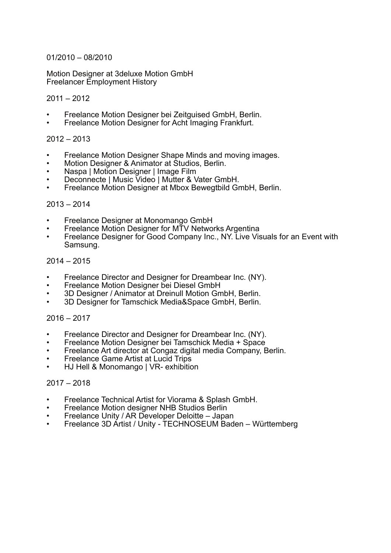### 01/2010 – 08/2010

Motion Designer at 3deluxe Motion GmbH Freelancer Employment History

### $2011 - 2012$

- Freelance Motion Designer bei Zeitguised GmbH, Berlin.
- Freelance Motion Designer for Acht Imaging Frankfurt.

## 2012 – 2013

- Freelance Motion Designer Shape Minds and moving images.
- Motion Designer & Animator at Studios, Berlin.
- Naspa | Motion Designer | Image Film
- Deconnecte | Music Video | Mutter & Vater GmbH.
- Freelance Motion Designer at Mbox Bewegtbild GmbH, Berlin.

#### $2013 - 2014$

- Freelance Designer at Monomango GmbH
- Freelance Motion Designer for MTV Networks Argentina
- Freelance Designer for Good Company Inc., NY. Live Visuals for an Event with Samsung.

### 2014 – 2015

- Freelance Director and Designer for Dreambear Inc. (NY).
- Freelance Motion Designer bei Diesel GmbH
- 3D Designer / Animator at Dreinull Motion GmbH, Berlin.
- 3D Designer for Tamschick Media&Space GmbH, Berlin.

## $2016 - 2017$

- Freelance Director and Designer for Dreambear Inc. (NY).
- Freelance Motion Designer bei Tamschick Media + Space
- Freelance Art director at Congaz digital media Company, Berlin.
- Freelance Game Artist at Lucid Trips
- HJ Hell & Monomango | VR- exhibition

#### 2017 – 2018

- Freelance Technical Artist for Viorama & Splash GmbH.
- Freelance Motion designer NHB Studios Berlin
- Freelance Unity / AR Developer Deloitte Japan
- Freelance 3D Artist / Unity TECHNOSEUM Baden Württemberg